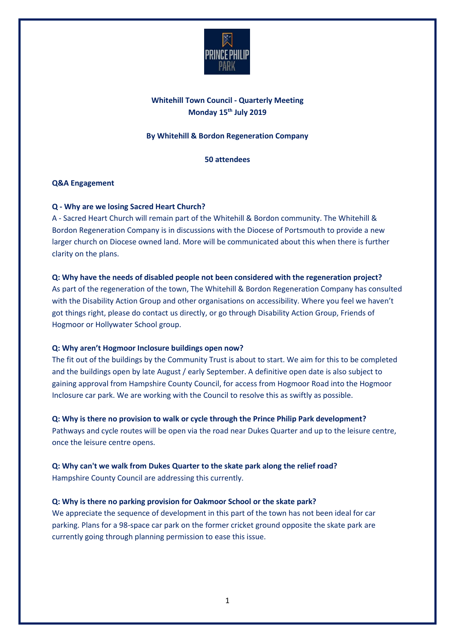

# **Whitehill Town Council - Quarterly Meeting Monday 15th July 2019**

# **By Whitehill & Bordon Regeneration Company**

# **50 attendees**

# **Q&A Engagement**

# **Q - Why are we losing Sacred Heart Church?**

A - Sacred Heart Church will remain part of the Whitehill & Bordon community. The Whitehill & Bordon Regeneration Company is in discussions with the Diocese of Portsmouth to provide a new larger church on Diocese owned land. More will be communicated about this when there is further clarity on the plans.

# **Q: Why have the needs of disabled people not been considered with the regeneration project?**

As part of the regeneration of the town, The Whitehill & Bordon Regeneration Company has consulted with the Disability Action Group and other organisations on accessibility. Where you feel we haven't got things right, please do contact us directly, or go through Disability Action Group, Friends of Hogmoor or Hollywater School group.

# **Q: Why aren't Hogmoor Inclosure buildings open now?**

The fit out of the buildings by the Community Trust is about to start. We aim for this to be completed and the buildings open by late August / early September. A definitive open date is also subject to gaining approval from Hampshire County Council, for access from Hogmoor Road into the Hogmoor Inclosure car park. We are working with the Council to resolve this as swiftly as possible.

# **Q: Why is there no provision to walk or cycle through the Prince Philip Park development?**

Pathways and cycle routes will be open via the road near Dukes Quarter and up to the leisure centre, once the leisure centre opens.

# **Q: Why can't we walk from Dukes Quarter to the skate park along the relief road?** Hampshire County Council are addressing this currently.

# **Q: Why is there no parking provision for Oakmoor School or the skate park?**

We appreciate the sequence of development in this part of the town has not been ideal for car parking. Plans for a 98-space car park on the former cricket ground opposite the skate park are currently going through planning permission to ease this issue.